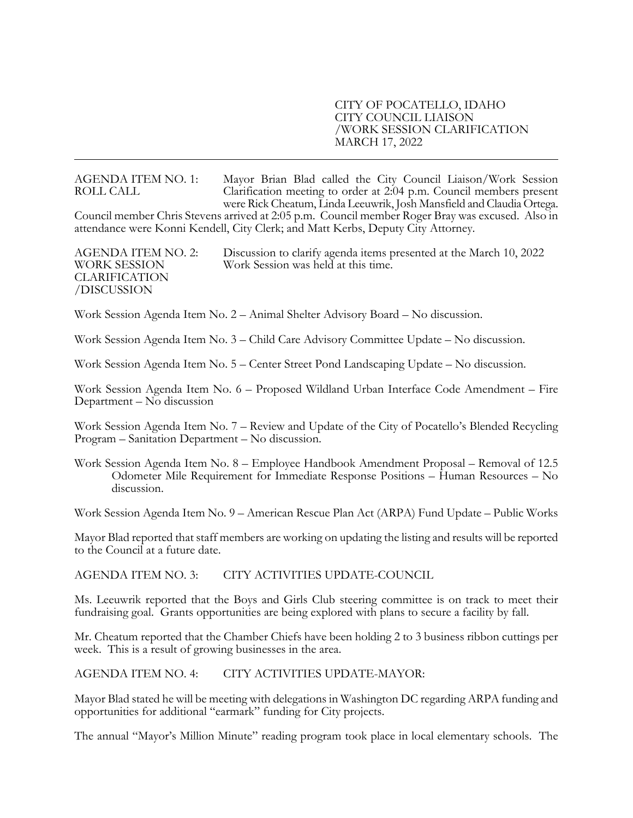### CITY OF POCATELLO, IDAHO CITY COUNCIL LIAISON /WORK SESSION CLARIFICATION MARCH 17, 2022

AGENDA ITEM NO. 1: Mayor Brian Blad called the City Council Liaison/Work Session<br>ROLL CALL CALL Carification meeting to order at 2:04 p.m. Council members present<br>were Rick Cheatum, Linda Leeuwrik, Josh Mansfield and Claud attendance were Konni Kendell, City Clerk; and Matt Kerbs, Deputy City Attorney.

AGENDA ITEM NO. 2: Discussion to clarify agenda items presented at the March 10, 2022 WORK SESSION Work Session was held at this time. CLARIFICATION /DISCUSSION

Work Session Agenda Item No. 2 – Animal Shelter Advisory Board – No discussion.

Work Session Agenda Item No. 3 – Child Care Advisory Committee Update – No discussion.

Work Session Agenda Item No. 5 – Center Street Pond Landscaping Update – No discussion.

Work Session Agenda Item No. 6 – Proposed Wildland Urban Interface Code Amendment – Fire Department – No discussion

Work Session Agenda Item No. 7 – Review and Update of the City of Pocatello's Blended Recycling Program – Sanitation Department – No discussion.

Work Session Agenda Item No. 8 – Employee Handbook Amendment Proposal – Removal of 12.5 Odometer Mile Requirement for Immediate Response Positions – Human Resources – No discussion.

Work Session Agenda Item No. 9 – American Rescue Plan Act (ARPA) Fund Update – Public Works

Mayor Blad reported that staff members are working on updating the listing and results will be reported to the Council at a future date.

AGENDA ITEM NO. 3: CITY ACTIVITIES UPDATE-COUNCIL

Ms. Leeuwrik reported that the Boys and Girls Club steering committee is on track to meet their fundraising goal. Grants opportunities are being explored with plans to secure a facility by fall.

Mr. Cheatum reported that the Chamber Chiefs have been holding 2 to 3 business ribbon cuttings per week. This is a result of growing businesses in the area.

AGENDA ITEM NO. 4: CITY ACTIVITIES UPDATE-MAYOR:

Mayor Blad stated he will be meeting with delegations in Washington DC regarding ARPA funding and opportunities for additional "earmark" funding for City projects.

The annual "Mayor's Million Minute" reading program took place in local elementary schools. The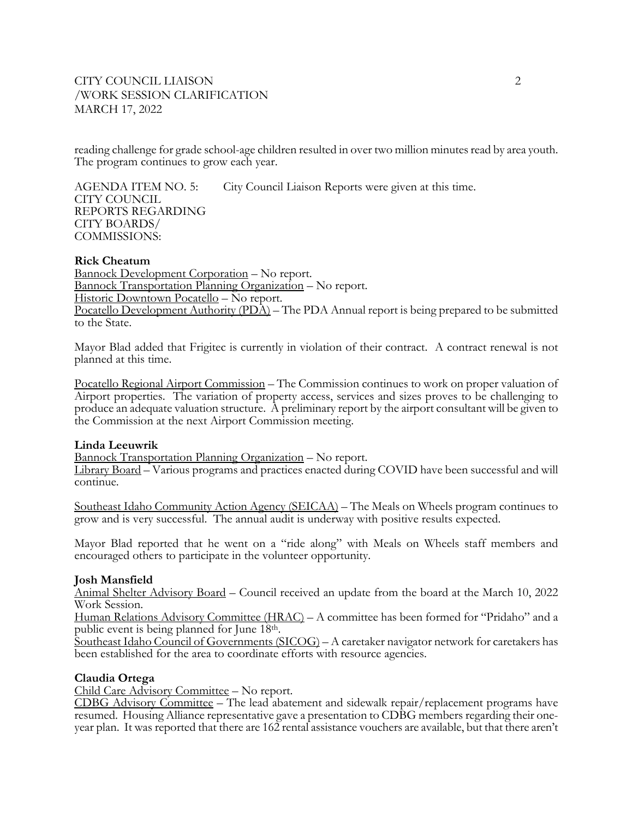# CITY COUNCIL LIAISON 2 /WORK SESSION CLARIFICATION MARCH 17, 2022

reading challenge for grade school-age children resulted in over two million minutes read by area youth. The program continues to grow each year.

AGENDA ITEM NO. 5: City Council Liaison Reports were given at this time. CITY COUNCIL REPORTS REGARDING CITY BOARDS/ COMMISSIONS:

### **Rick Cheatum**

Bannock Development Corporation – No report. Bannock Transportation Planning Organization – No report. Historic Downtown Pocatello – No report. Pocatello Development Authority (PDA) – The PDA Annual report is being prepared to be submitted to the State.

Mayor Blad added that Frigitec is currently in violation of their contract. A contract renewal is not planned at this time.

Pocatello Regional Airport Commission – The Commission continues to work on proper valuation of Airport properties. The variation of property access, services and sizes proves to be challenging to produce an adequate valuation structure. A preliminary report by the airport consultant will be given to the Commission at the next Airport Commission meeting.

#### **Linda Leeuwrik**

Bannock Transportation Planning Organization – No report.

Library Board – Various programs and practices enacted during COVID have been successful and will continue.

Southeast Idaho Community Action Agency (SEICAA) – The Meals on Wheels program continues to grow and is very successful. The annual audit is underway with positive results expected.

Mayor Blad reported that he went on a "ride along" with Meals on Wheels staff members and encouraged others to participate in the volunteer opportunity.

### **Josh Mansfield**

Animal Shelter Advisory Board – Council received an update from the board at the March 10, 2022 Work Session.

Human Relations Advisory Committee (HRAC) – A committee has been formed for "Pridaho" and a public event is being planned for June  $18<sup>th</sup>$ .

 $\frac{\text{Southeast Idaho Council of Governments (SICOG)}{}$  – A caretaker navigator network for caretakers has been established for the area to coordinate efforts with resource agencies.

### **Claudia Ortega**

Child Care Advisory Committee – No report.

CDBG Advisory Committee – The lead abatement and sidewalk repair/replacement programs have resumed. Housing Alliance representative gave a presentation to CDBG members regarding their one- year plan. It was reported that there are 162 rental assistance vouchers are available, but that there aren't